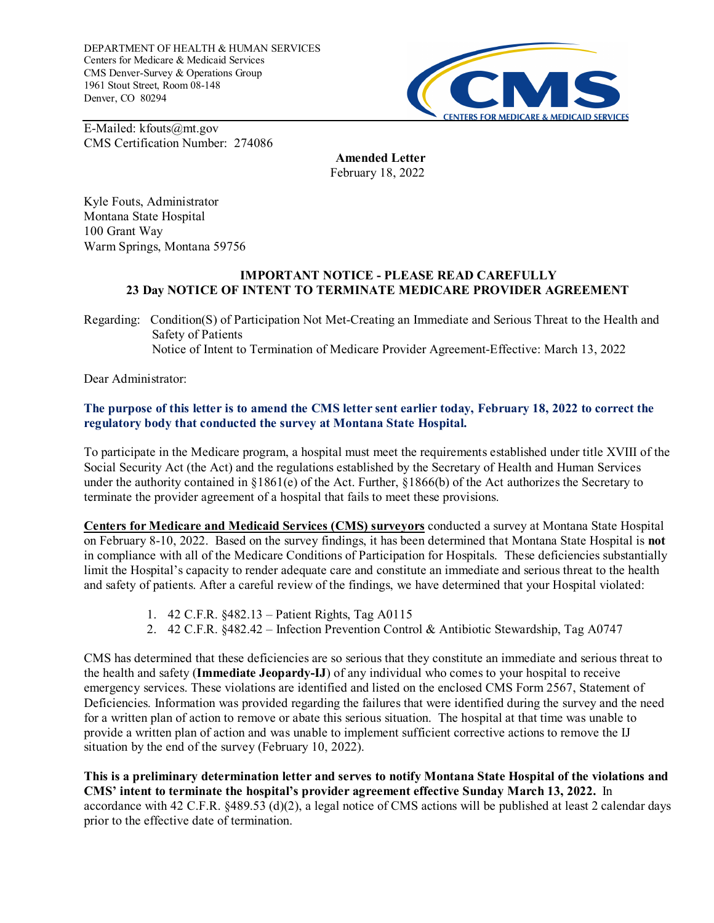DEPARTMENT OF HEALTH & HUMAN SERVICES Centers for Medicare & Medicaid Services CMS Denver-Survey & Operations Group 1961 Stout Street, Room 08-148 Denver, CO 80294



E-Mailed: kfouts@mt.gov CMS Certification Number: 274086

> **Amended Letter** February 18, 2022

Kyle Fouts, Administrator Montana State Hospital 100 Grant Way Warm Springs, Montana 59756

## **IMPORTANT NOTICE - PLEASE READ CAREFULLY 23 Day NOTICE OF INTENT TO TERMINATE MEDICARE PROVIDER AGREEMENT**

Regarding: Condition(S) of Participation Not Met-Creating an Immediate and Serious Threat to the Health and Safety of Patients Notice of Intent to Termination of Medicare Provider Agreement-Effective: March 13, 2022

Dear Administrator:

## **The purpose of this letter is to amend the CMS letter sent earlier today, February 18, 2022 to correct the regulatory body that conducted the survey at Montana State Hospital.**

To participate in the Medicare program, a hospital must meet the requirements established under title XVIII of the Social Security Act (the Act) and the regulations established by the Secretary of Health and Human Services under the authority contained in §1861(e) of the Act. Further, §1866(b) of the Act authorizes the Secretary to terminate the provider agreement of a hospital that fails to meet these provisions.

**Centers for Medicare and Medicaid Services (CMS) surveyors** conducted a survey at Montana State Hospital on February 8-10, 2022. Based on the survey findings, it has been determined that Montana State Hospital is **not** in compliance with all of the Medicare Conditions of Participation for Hospitals. These deficiencies substantially limit the Hospital's capacity to render adequate care and constitute an immediate and serious threat to the health and safety of patients. After a careful review of the findings, we have determined that your Hospital violated:

- 1. 42 C.F.R. §482.13 Patient Rights, Tag A0115
- 2. 42 C.F.R. §482.42 Infection Prevention Control & Antibiotic Stewardship, Tag A0747

CMS has determined that these deficiencies are so serious that they constitute an immediate and serious threat to the health and safety (**Immediate Jeopardy-IJ**) of any individual who comes to your hospital to receive emergency services. These violations are identified and listed on the enclosed CMS Form 2567, Statement of Deficiencies. Information was provided regarding the failures that were identified during the survey and the need for a written plan of action to remove or abate this serious situation. The hospital at that time was unable to provide a written plan of action and was unable to implement sufficient corrective actions to remove the IJ situation by the end of the survey (February 10, 2022).

**This is a preliminary determination letter and serves to notify Montana State Hospital of the violations and CMS' intent to terminate the hospital's provider agreement effective Sunday March 13, 2022.** In accordance with 42 C.F.R. §489.53 (d)(2), a legal notice of CMS actions will be published at least 2 calendar days prior to the effective date of termination.